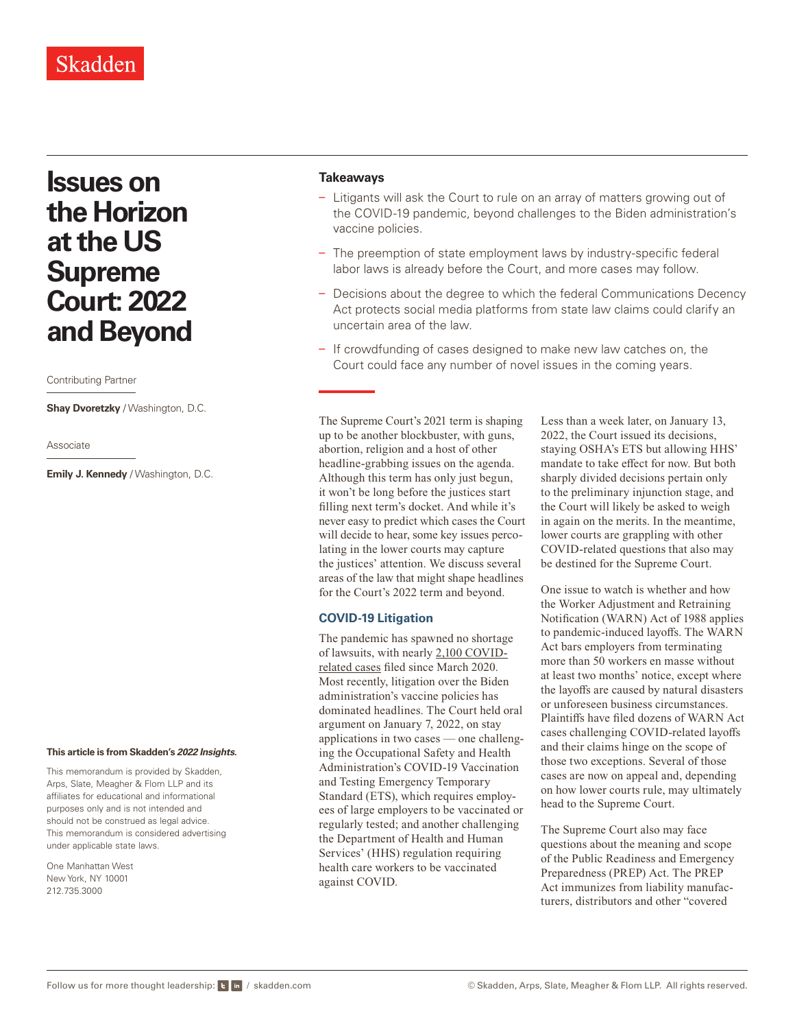# Skadden

# **Issues on the Horizon at the US Supreme Court: 2022 and Beyond**

#### Contributing Partner

**Shay Dvoretzky** / Washington, D.C.

Associate

**Emily J. Kennedy** / Washington, D.C.

#### **This article is from Skadden's** *[2022 Insights](https://www.skadden.com/insights/publications/2022/01/2022-insights/2022-insights)***.**

This memorandum is provided by Skadden, Arps, Slate, Meagher & Flom LLP and its affiliates for educational and informational purposes only and is not intended and should not be construed as legal advice. This memorandum is considered advertising under applicable state laws.

One Manhattan West New York, NY 10001 212.735.3000

#### **Takeaways**

- Litigants will ask the Court to rule on an array of matters growing out of the COVID-19 pandemic, beyond challenges to the Biden administration's vaccine policies.
- The preemption of state employment laws by industry-specific federal labor laws is already before the Court, and more cases may follow.
- Decisions about the degree to which the federal Communications Decency Act protects social media platforms from state law claims could clarify an uncertain area of the law.
- If crowdfunding of cases designed to make new law catches on, the Court could face any number of novel issues in the coming years.

The Supreme Court's 2021 term is shaping up to be another blockbuster, with guns, abortion, religion and a host of other headline-grabbing issues on the agenda. Although this term has only just begun, it won't be long before the justices start filling next term's docket. And while it's never easy to predict which cases the Court will decide to hear, some key issues percolating in the lower courts may capture the justices' attention. We discuss several areas of the law that might shape headlines for the Court's 2022 term and beyond.

#### **COVID-19 Litigation**

The pandemic has spawned no shortage of lawsuits, with nearly [2,100 COVID](https://cclt.law.upenn.edu/)[related cases](https://cclt.law.upenn.edu/) filed since March 2020. Most recently, litigation over the Biden administration's vaccine policies has dominated headlines. The Court held oral argument on January 7, 2022, on stay applications in two cases — one challenging the Occupational Safety and Health Administration's COVID-19 Vaccination and Testing Emergency Temporary Standard (ETS), which requires employees of large employers to be vaccinated or regularly tested; and another challenging the Department of Health and Human Services' (HHS) regulation requiring health care workers to be vaccinated against COVID.

Less than a week later, on January 13, 2022, the Court issued its decisions, staying OSHA's ETS but allowing HHS' mandate to take effect for now. But both sharply divided decisions pertain only to the preliminary injunction stage, and the Court will likely be asked to weigh in again on the merits. In the meantime, lower courts are grappling with other COVID-related questions that also may be destined for the Supreme Court.

One issue to watch is whether and how the Worker Adjustment and Retraining Notification (WARN) Act of 1988 applies to pandemic-induced layoffs. The WARN Act bars employers from terminating more than 50 workers en masse without at least two months' notice, except where the layoffs are caused by natural disasters or unforeseen business circumstances. Plaintiffs have filed dozens of WARN Act cases challenging COVID-related layoffs and their claims hinge on the scope of those two exceptions. Several of those cases are now on appeal and, depending on how lower courts rule, may ultimately head to the Supreme Court.

The Supreme Court also may face questions about the meaning and scope of the Public Readiness and Emergency Preparedness (PREP) Act. The PREP Act immunizes from liability manufacturers, distributors and other "covered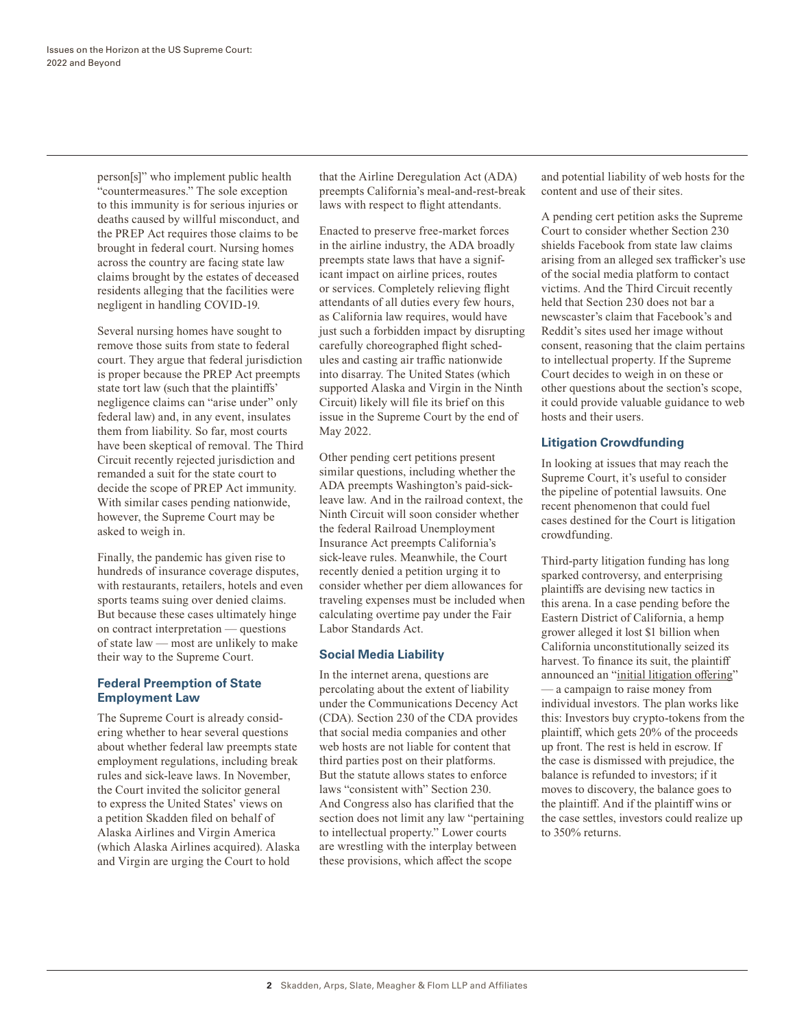person[s]" who implement public health "countermeasures." The sole exception to this immunity is for serious injuries or deaths caused by willful misconduct, and the PREP Act requires those claims to be brought in federal court. Nursing homes across the country are facing state law claims brought by the estates of deceased residents alleging that the facilities were negligent in handling COVID-19.

Several nursing homes have sought to remove those suits from state to federal court. They argue that federal jurisdiction is proper because the PREP Act preempts state tort law (such that the plaintiffs' negligence claims can "arise under" only federal law) and, in any event, insulates them from liability. So far, most courts have been skeptical of removal. The Third Circuit recently rejected jurisdiction and remanded a suit for the state court to decide the scope of PREP Act immunity. With similar cases pending nationwide, however, the Supreme Court may be asked to weigh in.

Finally, the pandemic has given rise to hundreds of insurance coverage disputes, with restaurants, retailers, hotels and even sports teams suing over denied claims. But because these cases ultimately hinge on contract interpretation — questions of state law — most are unlikely to make their way to the Supreme Court.

### **Federal Preemption of State Employment Law**

The Supreme Court is already considering whether to hear several questions about whether federal law preempts state employment regulations, including break rules and sick-leave laws. In November, the Court invited the solicitor general to express the United States' views on a petition Skadden filed on behalf of Alaska Airlines and Virgin America (which Alaska Airlines acquired). Alaska and Virgin are urging the Court to hold

that the Airline Deregulation Act (ADA) preempts California's meal-and-rest-break laws with respect to flight attendants.

Enacted to preserve free-market forces in the airline industry, the ADA broadly preempts state laws that have a significant impact on airline prices, routes or services. Completely relieving flight attendants of all duties every few hours, as California law requires, would have just such a forbidden impact by disrupting carefully choreographed flight schedules and casting air traffic nationwide into disarray. The United States (which supported Alaska and Virgin in the Ninth Circuit) likely will file its brief on this issue in the Supreme Court by the end of May 2022.

Other pending cert petitions present similar questions, including whether the ADA preempts Washington's paid-sickleave law. And in the railroad context, the Ninth Circuit will soon consider whether the federal Railroad Unemployment Insurance Act preempts California's sick-leave rules. Meanwhile, the Court recently denied a petition urging it to consider whether per diem allowances for traveling expenses must be included when calculating overtime pay under the Fair Labor Standards Act.

### **Social Media Liability**

In the internet arena, questions are percolating about the extent of liability under the Communications Decency Act (CDA). Section 230 of the CDA provides that social media companies and other web hosts are not liable for content that third parties post on their platforms. But the statute allows states to enforce laws "consistent with" Section 230. And Congress also has clarified that the section does not limit any law "pertaining to intellectual property." Lower courts are wrestling with the interplay between these provisions, which affect the scope

and potential liability of web hosts for the content and use of their sites.

A pending cert petition asks the Supreme Court to consider whether Section 230 shields Facebook from state law claims arising from an alleged sex trafficker's use of the social media platform to contact victims. And the Third Circuit recently held that Section 230 does not bar a newscaster's claim that Facebook's and Reddit's sites used her image without consent, reasoning that the claim pertains to intellectual property. If the Supreme Court decides to weigh in on these or other questions about the section's scope, it could provide valuable guidance to web hosts and their users.

## **Litigation Crowdfunding**

In looking at issues that may reach the Supreme Court, it's useful to consider the pipeline of potential lawsuits. One recent phenomenon that could fuel cases destined for the Court is litigation crowdfunding.

Third-party litigation funding has long sparked controversy, and enterprising plaintiffs are devising new tactics in this arena. In a case pending before the Eastern District of California, a hemp grower alleged it lost \$1 billion when California unconstitutionally seized its harvest. To finance its suit, the plaintiff announced an ["initial litigation offering"](https://republic.co/apothio) — a campaign to raise money from individual investors. The plan works like this: Investors buy crypto-tokens from the plaintiff, which gets 20% of the proceeds up front. The rest is held in escrow. If the case is dismissed with prejudice, the balance is refunded to investors; if it moves to discovery, the balance goes to the plaintiff. And if the plaintiff wins or the case settles, investors could realize up to 350% returns.